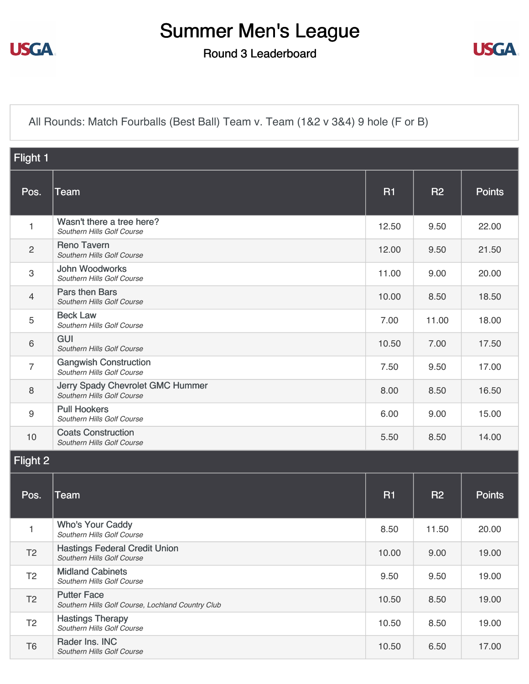

## Summer Men's League

Round 3 Leaderboard



[All Rounds: Match Fourballs \(Best Ball\) Team v. Team \(1&2 v 3&4\) 9 hole \(F or B\)](https://static.golfgenius.com/v2tournaments/8437722028328375990?called_from=&round_index=3)

| Flight 1                  |                                                                         |           |           |               |  |  |
|---------------------------|-------------------------------------------------------------------------|-----------|-----------|---------------|--|--|
| Pos.                      | <b>Team</b>                                                             | <b>R1</b> | <b>R2</b> | <b>Points</b> |  |  |
| 1                         | Wasn't there a tree here?<br>Southern Hills Golf Course                 | 12.50     | 9.50      | 22.00         |  |  |
| $\overline{2}$            | <b>Reno Tavern</b><br>Southern Hills Golf Course                        | 12.00     | 9.50      | 21.50         |  |  |
| $\ensuremath{\mathsf{3}}$ | <b>John Woodworks</b><br>Southern Hills Golf Course                     | 11.00     | 9.00      | 20.00         |  |  |
| $\overline{4}$            | Pars then Bars<br>Southern Hills Golf Course                            | 10.00     | 8.50      | 18.50         |  |  |
| 5                         | <b>Beck Law</b><br>Southern Hills Golf Course                           | 7.00      | 11.00     | 18.00         |  |  |
| $6\,$                     | GUI<br>Southern Hills Golf Course                                       | 10.50     | 7.00      | 17.50         |  |  |
| $\overline{7}$            | <b>Gangwish Construction</b><br>Southern Hills Golf Course              | 7.50      | 9.50      | 17.00         |  |  |
| $\,8\,$                   | Jerry Spady Chevrolet GMC Hummer<br>Southern Hills Golf Course          | 8.00      | 8.50      | 16.50         |  |  |
| $\boldsymbol{9}$          | <b>Pull Hookers</b><br>Southern Hills Golf Course                       | 6.00      | 9.00      | 15.00         |  |  |
| 10                        | <b>Coats Construction</b><br>Southern Hills Golf Course                 | 5.50      | 8.50      | 14.00         |  |  |
| Flight 2                  |                                                                         |           |           |               |  |  |
| Pos.                      | <b>Team</b>                                                             | <b>R1</b> | <b>R2</b> | <b>Points</b> |  |  |
| 1                         | <b>Who's Your Caddy</b><br>Southern Hills Golf Course                   | 8.50      | 11.50     | 20.00         |  |  |
| T <sub>2</sub>            | <b>Hastings Federal Credit Union</b><br>Southern Hills Golf Course      | 10.00     | 9.00      | 19.00         |  |  |
| T <sub>2</sub>            | <b>Midland Cabinets</b><br>Southern Hills Golf Course                   | 9.50      | 9.50      | 19.00         |  |  |
| T <sub>2</sub>            | <b>Putter Face</b><br>Southern Hills Golf Course, Lochland Country Club | 10.50     | 8.50      | 19.00         |  |  |
| T <sub>2</sub>            | <b>Hastings Therapy</b><br>Southern Hills Golf Course                   | 10.50     | 8.50      | 19.00         |  |  |
| T <sub>6</sub>            | Rader Ins. INC<br>Southern Hills Golf Course                            | 10.50     | 6.50      | 17.00         |  |  |